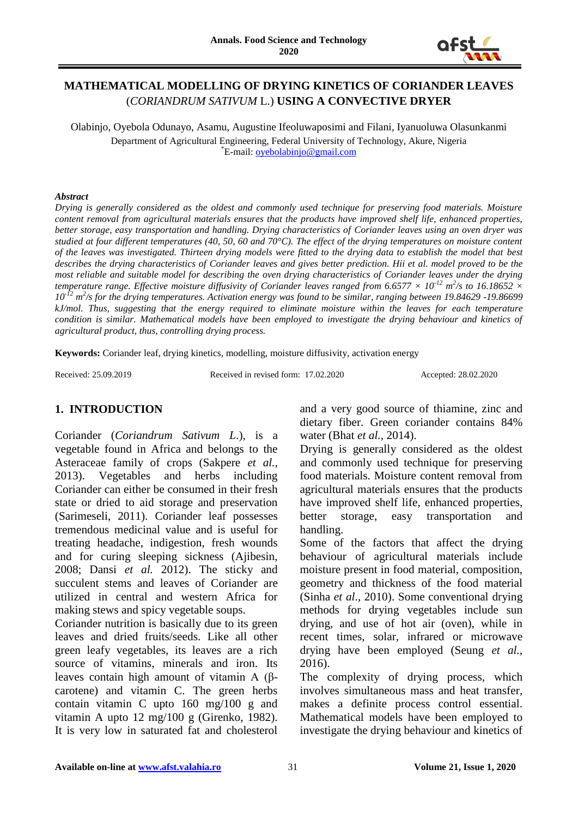

# **MATHEMATICAL MODELLING OF DRYING KINETICS OF CORIANDER LEAVES**  (*CORIANDRUM SATIVUM* L.) **USING A CONVECTIVE DRYER**

Olabinjo, Oyebola Odunayo, Asamu, Augustine Ifeoluwaposimi and Filani, Iyanuoluwa Olasunkanmi Department of Agricultural Engineering, Federal University of Technology, Akure, Nigeria \*E-mail: [oyebolabinjo@gmail.com](mailto:oyebolabinjo@gmail.com)

#### *Abstract*

*Drying is generally considered as the oldest and commonly used technique for preserving food materials. Moisture content removal from agricultural materials ensures that the products have improved shelf life, enhanced properties, better storage, easy transportation and handling. Drying characteristics of Coriander leaves using an oven dryer was studied at four different temperatures (40, 50, 60 and 70°C). The effect of the drying temperatures on moisture content of the leaves was investigated. Thirteen drying models were fitted to the drying data to establish the model that best describes the drying characteristics of Coriander leaves and gives better prediction. Hii et al. model proved to be the most reliable and suitable model for describing the oven drying characteristics of Coriander leaves under the drying temperature range. Effective moisture diffusivity of Coriander leaves ranged from 6.6577*  $\times$  *10<sup>-12</sup> m<sup>2</sup>/s to 16.18652*  $\times$ *10-12 m 2 /s for the drying temperatures. Activation energy was found to be similar, ranging between 19.84629 -19.86699 kJ/mol. Thus, suggesting that the energy required to eliminate moisture within the leaves for each temperature condition is similar. Mathematical models have been employed to investigate the drying behaviour and kinetics of agricultural product, thus, controlling drying process.*

**Keywords:** Coriander leaf, drying kinetics, modelling, moisture diffusivity, activation energy

Received: 25.09.2019 Received in revised form: 17.02.2020 Accepted: 28.02.2020

# **1. INTRODUCTION**

Coriander (*Coriandrum Sativum L*.), is a vegetable found in Africa and belongs to the Asteraceae family of crops (Sakpere *et al.,* 2013). Vegetables and herbs including Coriander can either be consumed in their fresh state or dried to aid storage and preservation (Sarimeseli, 2011). Coriander leaf possesses tremendous medicinal value and is useful for treating headache, indigestion, fresh wounds and for curing sleeping sickness (Ajibesin, 2008; Dansi *et al.* 2012). The sticky and succulent stems and leaves of Coriander are utilized in central and western Africa for making stews and spicy vegetable soups.

Coriander nutrition is basically due to its green leaves and dried fruits/seeds. Like all other green leafy vegetables, its leaves are a rich source of vitamins, minerals and iron. Its leaves contain high amount of vitamin A (βcarotene) and vitamin C. The green herbs contain vitamin C upto 160 mg/100 g and vitamin A upto 12 mg/100 g (Girenko, 1982). It is very low in saturated fat and cholesterol and a very good source of thiamine, zinc and dietary fiber. Green coriander contains 84% water (Bhat *et al.,* 2014).

Drying is generally considered as the oldest and commonly used technique for preserving food materials. Moisture content removal from agricultural materials ensures that the products have improved shelf life, enhanced properties, better storage, easy transportation and handling.

Some of the factors that affect the drying behaviour of agricultural materials include moisture present in food material, composition, geometry and thickness of the food material (Sinha *et al*., 2010). Some conventional drying methods for drying vegetables include sun drying, and use of hot air (oven), while in recent times, solar, infrared or microwave drying have been employed (Seung *et al.,* 2016).

The complexity of drying process, which involves simultaneous mass and heat transfer, makes a definite process control essential. Mathematical models have been employed to investigate the drying behaviour and kinetics of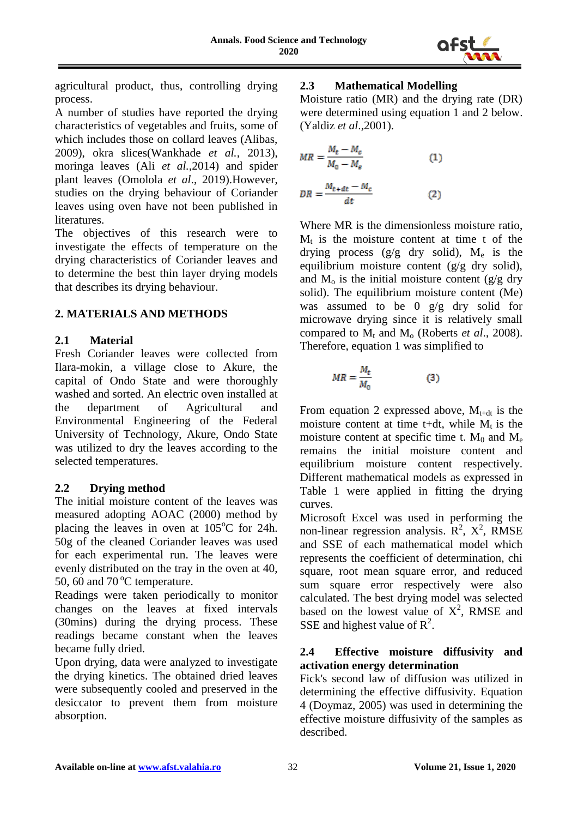

agricultural product, thus, controlling drying process.

A number of studies have reported the drying characteristics of vegetables and fruits, some of which includes those on collard leaves (Alibas, 2009), okra slices(Wankhade *et al.,* 2013), moringa leaves (Ali *et al.,*2014) and spider plant leaves (Omolola *et al*., 2019).However, studies on the drying behaviour of Coriander leaves using oven have not been published in literatures.

The objectives of this research were to investigate the effects of temperature on the drying characteristics of Coriander leaves and to determine the best thin layer drying models that describes its drying behaviour.

# **2. MATERIALS AND METHODS**

# **2.1 Material**

Fresh Coriander leaves were collected from Ilara-mokin, a village close to Akure, the capital of Ondo State and were thoroughly washed and sorted. An electric oven installed at the department of Agricultural and Environmental Engineering of the Federal University of Technology, Akure, Ondo State was utilized to dry the leaves according to the selected temperatures.

### **2.2 Drying method**

The initial moisture content of the leaves was measured adopting AOAC (2000) method by placing the leaves in oven at  $105^{\circ}$ C for 24h. 50g of the cleaned Coriander leaves was used for each experimental run. The leaves were evenly distributed on the tray in the oven at 40, 50, 60 and 70 $\mathrm{^{\circ}C}$  temperature.

Readings were taken periodically to monitor changes on the leaves at fixed intervals (30mins) during the drying process. These readings became constant when the leaves became fully dried.

Upon drying, data were analyzed to investigate the drying kinetics. The obtained dried leaves were subsequently cooled and preserved in the desiccator to prevent them from moisture absorption.

# **2.3 Mathematical Modelling**

Moisture ratio (MR) and the drying rate (DR) were determined using equation 1 and 2 below. (Yaldiz *et al*.,2001).

$$
MR = \frac{M_t - M_c}{M_0 - M_e} \tag{1}
$$

$$
DR = \frac{M_{t+dt} - M_c}{dt} \tag{2}
$$

Where MR is the dimensionless moisture ratio,  $M_t$  is the moisture content at time t of the drying process ( $g/g$  dry solid),  $M_e$  is the equilibrium moisture content (g/g dry solid), and  $M_0$  is the initial moisture content (g/g dry solid). The equilibrium moisture content (Me) was assumed to be 0 g/g dry solid for microwave drying since it is relatively small compared to  $M_t$  and  $M_o$  (Roberts *et al.*, 2008). Therefore, equation 1 was simplified to

$$
MR = \frac{M_t}{M_0} \tag{3}
$$

From equation 2 expressed above,  $M_{t+dt}$  is the moisture content at time t+dt, while  $M_t$  is the moisture content at specific time t.  $M_0$  and  $M_e$ remains the initial moisture content and equilibrium moisture content respectively. Different mathematical models as expressed in Table 1 were applied in fitting the drying curves.

Microsoft Excel was used in performing the non-linear regression analysis.  $\mathbb{R}^2$ ,  $\mathbb{X}^2$ , RMSE and SSE of each mathematical model which represents the coefficient of determination, chi square, root mean square error, and reduced sum square error respectively were also calculated. The best drying model was selected based on the lowest value of  $X^2$ , RMSE and SSE and highest value of  $R^2$ .

# **2.4 Effective moisture diffusivity and activation energy determination**

Fick's second law of diffusion was utilized in determining the effective diffusivity. Equation 4 (Doymaz, 2005) was used in determining the effective moisture diffusivity of the samples as described.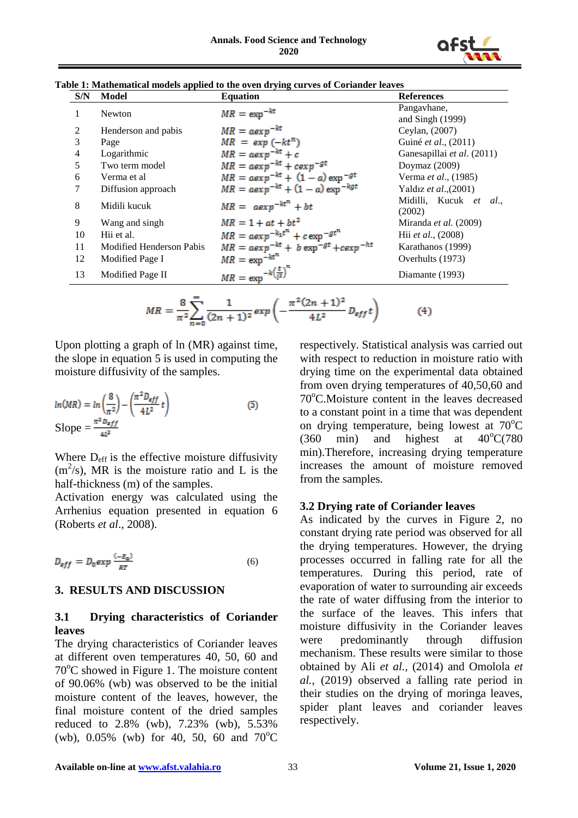

|--|

| S/N            | Model                    | <b>Equation</b>                               | <b>References</b>                 |
|----------------|--------------------------|-----------------------------------------------|-----------------------------------|
|                | Newton                   | $MR = \exp^{-kt}$                             | Pangavhane,<br>and Singh $(1999)$ |
| 2              | Henderson and pabis      | $MR = a exp^{-kt}$                            | Ceylan, (2007)                    |
| 3              | Page                     | $MR = exp(-kt^n)$                             | Guiné et al., (2011)              |
| $\overline{4}$ | Logarithmic              | $MR = aexp^{-kt} + c$                         | Ganesapillai et al. (2011)        |
| 5              | Two term model           | $MR = aexp^{-kt} + cexp^{-gt}$                | Doymaz $(2009)$                   |
| 6              | Verma et al              | $MR = a exp^{-kt} + (1 - a) exp^{-gt}$        | Verma et al., (1985)              |
| 7              | Diffusion approach       | $MR = a exp^{-kt} + (1 - a) exp^{-kgt}$       | Yaldız et al., (2001)             |
| 8              | Midili kucuk             | $MR = aexp^{-kt^{n}} + bt$                    | Midilli. Kucuk et al<br>(2002)    |
| 9              | Wang and singh           | $MR = 1 + at + bt^2$                          | Miranda et al. (2009)             |
| 10             | Hii et al.               | $MR = a \exp^{-k_1 t^n} + c \exp^{-g t^n}$    | Hii et al., (2008)                |
| 11             | Modified Henderson Pabis | $MR = aexp^{-kt} + b exp^{-gt} + c exp^{-ht}$ | Karathanos (1999)                 |
| 12             | Modified Page I          | $MR = \exp^{-kt^n}$                           | Overhults (1973)                  |
| 13             | Modified Page II         |                                               | Diamante (1993)                   |
|                |                          | $MR = \exp^{-k\left(\frac{t}{l^2}\right)^n}$  |                                   |

$$
MR = \frac{8}{\pi^2} \sum_{n=0}^{\infty} \frac{1}{(2n+1)^2} \exp\left(-\frac{\pi^2 (2n+1)^2}{4L^2} D_{eff} t\right) \tag{4}
$$

Upon plotting a graph of ln (MR) against time, the slope in equation 5 is used in computing the moisture diffusivity of the samples.

$$
ln(MR) = ln\left(\frac{8}{\pi^2}\right) - \left(\frac{\pi^2 D_{eff}}{4L^2} t\right)
$$
  
Slope = 
$$
\frac{\pi^2 D_{eff}}{4L^2}
$$
 (5)

Where  $D_{\text{eff}}$  is the effective moisture diffusivity  $(m<sup>2</sup>/s)$ , MR is the moisture ratio and L is the half-thickness (m) of the samples.

Activation energy was calculated using the Arrhenius equation presented in equation 6 (Roberts *et al*., 2008).

$$
D_{eff} = D_0 \exp \frac{(-E_a)}{RT}
$$
 (6)

### **3. RESULTS AND DISCUSSION**

# **3.1 Drying characteristics of Coriander leaves**

The drying characteristics of Coriander leaves at different oven temperatures 40, 50, 60 and  $70^{\circ}$ C showed in Figure 1. The moisture content of 90.06% (wb) was observed to be the initial moisture content of the leaves, however, the final moisture content of the dried samples reduced to 2.8% (wb), 7.23% (wb), 5.53% (wb),  $0.05\%$  (wb) for 40, 50, 60 and 70<sup>o</sup>C

respectively. Statistical analysis was carried out with respect to reduction in moisture ratio with drying time on the experimental data obtained from oven drying temperatures of 40,50,60 and  $70^{\circ}$ C.Moisture content in the leaves decreased to a constant point in a time that was dependent on drying temperature, being lowest at  $70^{\circ}$ C  $(360 \text{ min})$  and highest at  $40^{\circ}$ C $(780 \text{ min})$ min).Therefore, increasing drying temperature increases the amount of moisture removed from the samples.

### **3.2 Drying rate of Coriander leaves**

As indicated by the curves in Figure 2, no constant drying rate period was observed for all the drying temperatures. However, the drying processes occurred in falling rate for all the temperatures. During this period, rate of evaporation of water to surrounding air exceeds the rate of water diffusing from the interior to the surface of the leaves. This infers that moisture diffusivity in the Coriander leaves were predominantly through diffusion mechanism. These results were similar to those obtained by Ali *et al.,* (2014) and Omolola *et al.*, (2019) observed a falling rate period in their studies on the drying of moringa leaves, spider plant leaves and coriander leaves respectively.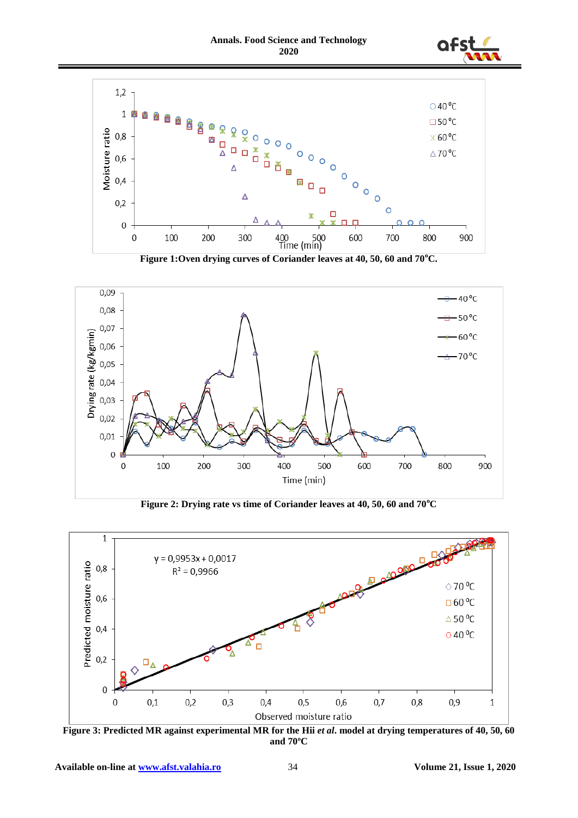



**Figure 1:Oven drying curves of Coriander leaves at 40, 50, 60 and 70<sup>o</sup>C.**



**Figure 2: Drying rate vs time of Coriander leaves at 40, 50, 60 and 70<sup>o</sup>C**



**Figure 3: Predicted MR against experimental MR for the Hii** *et al***<b>.** model at drying temperatures of 40, 50, 60 **and 70ºC**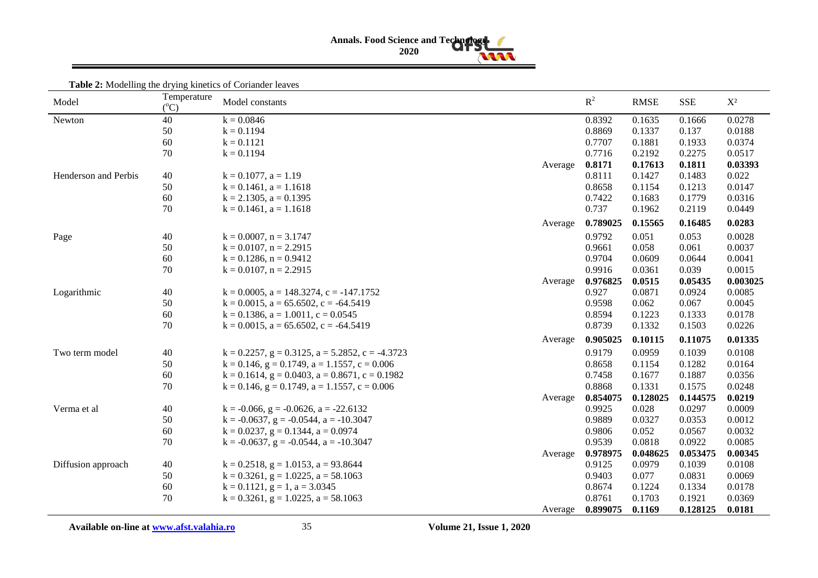# **Annals. Food Science and Technology 2020**

| Model                | Temperature<br>$(^{\circ}C)$ | Model constants                                            |         | $R^2$    | <b>RMSE</b> | <b>SSE</b> | $X^2$    |
|----------------------|------------------------------|------------------------------------------------------------|---------|----------|-------------|------------|----------|
| Newton               | 40                           | $k = 0.0846$                                               |         | 0.8392   | 0.1635      | 0.1666     | 0.0278   |
|                      | 50                           | $k = 0.1194$                                               |         | 0.8869   | 0.1337      | 0.137      | 0.0188   |
|                      | 60                           | $k = 0.1121$                                               |         | 0.7707   | 0.1881      | 0.1933     | 0.0374   |
|                      | 70                           | $k = 0.1194$                                               |         | 0.7716   | 0.2192      | 0.2275     | 0.0517   |
|                      |                              |                                                            | Average | 0.8171   | 0.17613     | 0.1811     | 0.03393  |
| Henderson and Perbis | 40                           | $k = 0.1077$ , $a = 1.19$                                  |         | 0.8111   | 0.1427      | 0.1483     | 0.022    |
|                      | 50                           | $k = 0.1461$ , $a = 1.1618$                                |         | 0.8658   | 0.1154      | 0.1213     | 0.0147   |
|                      | 60                           | $k = 2.1305$ , $a = 0.1395$                                |         | 0.7422   | 0.1683      | 0.1779     | 0.0316   |
|                      | 70                           | $k = 0.1461$ , $a = 1.1618$                                |         | 0.737    | 0.1962      | 0.2119     | 0.0449   |
|                      |                              |                                                            | Average | 0.789025 | 0.15565     | 0.16485    | 0.0283   |
| Page                 | 40                           | $k = 0.0007$ , $n = 3.1747$                                |         | 0.9792   | 0.051       | 0.053      | 0.0028   |
|                      | 50                           | $k = 0.0107$ , $n = 2.2915$                                |         | 0.9661   | 0.058       | 0.061      | 0.0037   |
|                      | 60                           | $k = 0.1286$ , $n = 0.9412$                                |         | 0.9704   | 0.0609      | 0.0644     | 0.0041   |
|                      | 70                           | $k = 0.0107$ , $n = 2.2915$                                |         | 0.9916   | 0.0361      | 0.039      | 0.0015   |
|                      |                              |                                                            | Average | 0.976825 | 0.0515      | 0.05435    | 0.003025 |
| Logarithmic          | 40                           | $k = 0.0005$ , $a = 148.3274$ , $c = -147.1752$            |         | 0.927    | 0.0871      | 0.0924     | 0.0085   |
|                      | 50                           | $k = 0.0015$ , $a = 65.6502$ , $c = -64.5419$              |         | 0.9598   | 0.062       | 0.067      | 0.0045   |
|                      | 60                           | $k = 0.1386$ , $a = 1.0011$ , $c = 0.0545$                 |         | 0.8594   | 0.1223      | 0.1333     | 0.0178   |
|                      | 70                           | $k = 0.0015$ , $a = 65.6502$ , $c = -64.5419$              |         | 0.8739   | 0.1332      | 0.1503     | 0.0226   |
|                      |                              |                                                            | Average | 0.905025 | 0.10115     | 0.11075    | 0.01335  |
| Two term model       | 40                           | $k = 0.2257$ , $g = 0.3125$ , $a = 5.2852$ , $c = -4.3723$ |         | 0.9179   | 0.0959      | 0.1039     | 0.0108   |
|                      | 50                           | $k = 0.146$ , $g = 0.1749$ , $a = 1.1557$ , $c = 0.006$    |         | 0.8658   | 0.1154      | 0.1282     | 0.0164   |
|                      | 60                           | $k = 0.1614$ , $g = 0.0403$ , $a = 0.8671$ , $c = 0.1982$  |         | 0.7458   | 0.1677      | 0.1887     | 0.0356   |
|                      | 70                           | $k = 0.146$ , $g = 0.1749$ , $a = 1.1557$ , $c = 0.006$    |         | 0.8868   | 0.1331      | 0.1575     | 0.0248   |
|                      |                              |                                                            | Average | 0.854075 | 0.128025    | 0.144575   | 0.0219   |
| Verma et al          | 40                           | $k = -0.066$ , $g = -0.0626$ , $a = -22.6132$              |         | 0.9925   | 0.028       | 0.0297     | 0.0009   |
|                      | 50                           | $k = -0.0637$ , $g = -0.0544$ , $a = -10.3047$             |         | 0.9889   | 0.0327      | 0.0353     | 0.0012   |
|                      | 60                           | $k = 0.0237$ , $g = 0.1344$ , $a = 0.0974$                 |         | 0.9806   | 0.052       | 0.0567     | 0.0032   |
|                      | 70                           | $k = -0.0637$ , $g = -0.0544$ , $a = -10.3047$             |         | 0.9539   | 0.0818      | 0.0922     | 0.0085   |
|                      |                              |                                                            | Average | 0.978975 | 0.048625    | 0.053475   | 0.00345  |
| Diffusion approach   | 40                           | $k = 0.2518$ , $g = 1.0153$ , $a = 93.8644$                |         | 0.9125   | 0.0979      | 0.1039     | 0.0108   |
|                      | 50                           | $k = 0.3261$ , $g = 1.0225$ , $a = 58.1063$                |         | 0.9403   | 0.077       | 0.0831     | 0.0069   |
|                      | 60                           | $k = 0.1121$ , $g = 1$ , $a = 3.0345$                      |         | 0.8674   | 0.1224      | 0.1334     | 0.0178   |
|                      | 70                           | $k = 0.3261$ , $g = 1.0225$ , $a = 58.1063$                |         | 0.8761   | 0.1703      | 0.1921     | 0.0369   |
|                      |                              |                                                            | Average | 0.899075 | 0.1169      | 0.128125   | 0.0181   |

**Table 2:** Modelling the drying kinetics of Coriander leaves

Available on-line at **www.afst.valahia.ro** 35 **Volume 21, Issue 1, 2020**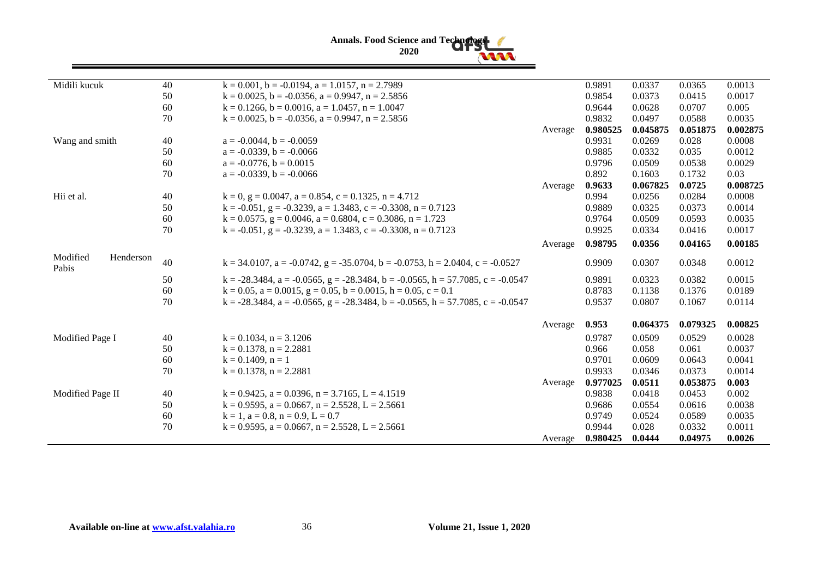

| Midili kucuk                   | 40 | $k = 0.001$ , $b = -0.0194$ , $a = 1.0157$ , $n = 2.7989$                                       |         | 0.9891   | 0.0337   | 0.0365   | 0.0013   |
|--------------------------------|----|-------------------------------------------------------------------------------------------------|---------|----------|----------|----------|----------|
|                                | 50 | $k = 0.0025$ , $b = -0.0356$ , $a = 0.9947$ , $n = 2.5856$                                      |         | 0.9854   | 0.0373   | 0.0415   | 0.0017   |
|                                | 60 | $k = 0.1266$ , $b = 0.0016$ , $a = 1.0457$ , $n = 1.0047$                                       |         | 0.9644   | 0.0628   | 0.0707   | 0.005    |
|                                | 70 | $k = 0.0025$ , $b = -0.0356$ , $a = 0.9947$ , $n = 2.5856$                                      |         | 0.9832   | 0.0497   | 0.0588   | 0.0035   |
|                                |    |                                                                                                 | Average | 0.980525 | 0.045875 | 0.051875 | 0.002875 |
| Wang and smith                 | 40 | $a = -0.0044$ , $b = -0.0059$                                                                   |         | 0.9931   | 0.0269   | 0.028    | 0.0008   |
|                                | 50 | $a = -0.0339$ , $b = -0.0066$                                                                   |         | 0.9885   | 0.0332   | 0.035    | 0.0012   |
|                                | 60 | $a = -0.0776$ , $b = 0.0015$                                                                    |         | 0.9796   | 0.0509   | 0.0538   | 0.0029   |
|                                | 70 | $a = -0.0339$ , $b = -0.0066$                                                                   |         | 0.892    | 0.1603   | 0.1732   | 0.03     |
|                                |    |                                                                                                 | Average | 0.9633   | 0.067825 | 0.0725   | 0.008725 |
| Hii et al.                     | 40 | $k = 0$ , $g = 0.0047$ , $a = 0.854$ , $c = 0.1325$ , $n = 4.712$                               |         | 0.994    | 0.0256   | 0.0284   | 0.0008   |
|                                | 50 | $k = -0.051$ , $g = -0.3239$ , $a = 1.3483$ , $c = -0.3308$ , $n = 0.7123$                      |         | 0.9889   | 0.0325   | 0.0373   | 0.0014   |
|                                | 60 | $k = 0.0575$ , $g = 0.0046$ , $a = 0.6804$ , $c = 0.3086$ , $n = 1.723$                         |         | 0.9764   | 0.0509   | 0.0593   | 0.0035   |
|                                | 70 | $k = -0.051$ , $g = -0.3239$ , $a = 1.3483$ , $c = -0.3308$ , $n = 0.7123$                      |         | 0.9925   | 0.0334   | 0.0416   | 0.0017   |
|                                |    |                                                                                                 | Average | 0.98795  | 0.0356   | 0.04165  | 0.00185  |
| Modified<br>Henderson<br>Pabis | 40 | $k = 34.0107$ , $a = -0.0742$ , $g = -35.0704$ , $b = -0.0753$ , $h = 2.0404$ , $c = -0.0527$   |         | 0.9909   | 0.0307   | 0.0348   | 0.0012   |
|                                | 50 | $k = -28.3484$ , $a = -0.0565$ , $g = -28.3484$ , $b = -0.0565$ , $h = 57.7085$ , $c = -0.0547$ |         | 0.9891   | 0.0323   | 0.0382   | 0.0015   |
|                                | 60 | $k = 0.05$ , $a = 0.0015$ , $g = 0.05$ , $b = 0.0015$ , $h = 0.05$ , $c = 0.1$                  |         | 0.8783   | 0.1138   | 0.1376   | 0.0189   |
|                                | 70 | $k = -28.3484$ , $a = -0.0565$ , $g = -28.3484$ , $b = -0.0565$ , $h = 57.7085$ , $c = -0.0547$ |         | 0.9537   | 0.0807   | 0.1067   | 0.0114   |
|                                |    |                                                                                                 | Average | 0.953    | 0.064375 | 0.079325 | 0.00825  |
| Modified Page I                | 40 | $k = 0.1034$ , $n = 3.1206$                                                                     |         | 0.9787   | 0.0509   | 0.0529   | 0.0028   |
|                                | 50 | $k = 0.1378$ , $n = 2.2881$                                                                     |         | 0.966    | 0.058    | 0.061    | 0.0037   |
|                                | 60 | $k = 0.1409$ , $n = 1$                                                                          |         | 0.9701   | 0.0609   | 0.0643   | 0.0041   |
|                                | 70 | $k = 0.1378$ , $n = 2.2881$                                                                     |         | 0.9933   | 0.0346   | 0.0373   | 0.0014   |
|                                |    |                                                                                                 | Average | 0.977025 | 0.0511   | 0.053875 | 0.003    |
| Modified Page II               | 40 | $k = 0.9425$ , $a = 0.0396$ , $n = 3.7165$ , $L = 4.1519$                                       |         | 0.9838   | 0.0418   | 0.0453   | 0.002    |
|                                | 50 | $k = 0.9595$ , $a = 0.0667$ , $n = 2.5528$ , $L = 2.5661$                                       |         | 0.9686   | 0.0554   | 0.0616   | 0.0038   |
|                                | 60 | $k = 1$ , $a = 0.8$ , $n = 0.9$ , $L = 0.7$                                                     |         | 0.9749   | 0.0524   | 0.0589   | 0.0035   |
|                                | 70 | $k = 0.9595$ , $a = 0.0667$ , $n = 2.5528$ , $L = 2.5661$                                       |         | 0.9944   | 0.028    | 0.0332   | 0.0011   |
|                                |    |                                                                                                 | Average | 0.980425 | 0.0444   | 0.04975  | 0.0026   |
|                                |    |                                                                                                 |         |          |          |          |          |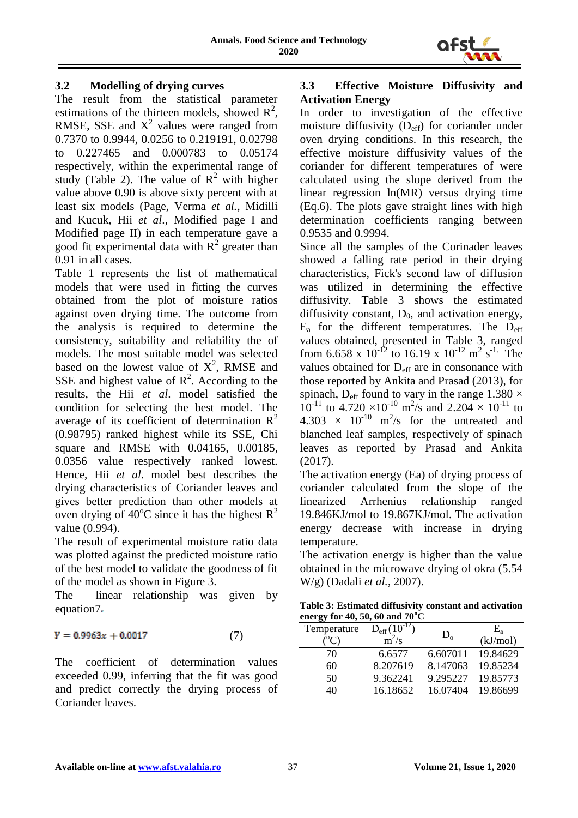

# **3.2 Modelling of drying curves**

The result from the statistical parameter estimations of the thirteen models, showed  $\mathbb{R}^2$ , RMSE, SSE and  $X^2$  values were ranged from 0.7370 to 0.9944, 0.0256 to 0.219191, 0.02798 to 0.227465 and 0.000783 to 0.05174 respectively, within the experimental range of study (Table 2). The value of  $R^2$  with higher value above 0.90 is above sixty percent with at least six models (Page, Verma *et al.*, Midilli and Kucuk, Hii *et al*., Modified page I and Modified page II) in each temperature gave a good fit experimental data with  $R^2$  greater than 0.91 in all cases.

Table 1 represents the list of mathematical models that were used in fitting the curves obtained from the plot of moisture ratios against oven drying time. The outcome from the analysis is required to determine the consistency, suitability and reliability the of models. The most suitable model was selected based on the lowest value of  $X^2$ , RMSE and SSE and highest value of  $\mathbb{R}^2$ . According to the results, the Hii *et al*. model satisfied the condition for selecting the best model. The average of its coefficient of determination  $R^2$ (0.98795) ranked highest while its SSE, Chi square and RMSE with 0.04165, 0.00185, 0.0356 value respectively ranked lowest. Hence, Hii *et al*. model best describes the drying characteristics of Coriander leaves and gives better prediction than other models at oven drying of 40 $^{\circ}$ C since it has the highest  $R^2$ value (0.994).

The result of experimental moisture ratio data was plotted against the predicted moisture ratio of the best model to validate the goodness of fit of the model as shown in Figure 3.

The linear relationship was given by equation7.

$$
Y = 0.9963x + 0.0017 \tag{7}
$$

The coefficient of determination values exceeded 0.99, inferring that the fit was good and predict correctly the drying process of Coriander leaves.

### **3.3 Effective Moisture Diffusivity and Activation Energy**

In order to investigation of the effective moisture diffusivity  $(D_{\text{eff}})$  for coriander under oven drying conditions. In this research, the effective moisture diffusivity values of the coriander for different temperatures of were calculated using the slope derived from the linear regression ln(MR) versus drying time (Eq.6). The plots gave straight lines with high determination coefficients ranging between 0.9535 and 0.9994.

Since all the samples of the Corinader leaves showed a falling rate period in their drying characteristics, Fick's second law of diffusion was utilized in determining the effective diffusivity. Table 3 shows the estimated diffusivity constant,  $D_0$ , and activation energy,  $E_a$  for the different temperatures. The  $D_{\text{eff}}$ values obtained, presented in Table 3, ranged from 6.658 x  $10^{-12}$  to 16.19 x  $10^{-12}$  m<sup>2</sup> s<sup>-1.</sup> The values obtained for D<sub>eff</sub> are in consonance with those reported by Ankita and Prasad (2013), for spinach,  $D_{\text{eff}}$  found to vary in the range 1.380  $\times$  $10^{-11}$  to 4.720 ×  $10^{-10}$  m<sup>2</sup>/s and 2.204 ×  $10^{-11}$  to  $4.303 \times 10^{-10}$  m<sup>2</sup>/s for the untreated and blanched leaf samples, respectively of spinach leaves as reported by Prasad and Ankita (2017).

The activation energy (Ea) of drying process of coriander calculated from the slope of the linearized Arrhenius relationship ranged 19.846KJ/mol to 19.867KJ/mol. The activation energy decrease with increase in drying temperature.

The activation energy is higher than the value obtained in the microwave drying of okra (5.54 W/g) (Dadali *et al.*, 2007).

**Table 3: Estimated diffusivity constant and activation energy for 40, 50, 60 and 70<sup>o</sup>C**

| Temperature | $D_{\rm eff} (10^{-12})$<br>$m^2/s$ | $D_{o}$  | $\mathrm{E}_{\mathrm{a}}$<br>(kJ/mol) |
|-------------|-------------------------------------|----------|---------------------------------------|
| 70          | 6.6577                              | 6.607011 | 19.84629                              |
| 60          | 8.207619                            | 8.147063 | 19.85234                              |
| 50          | 9.362241                            | 9.295227 | 19.85773                              |
| 40          | 16.18652                            | 16.07404 | 19.86699                              |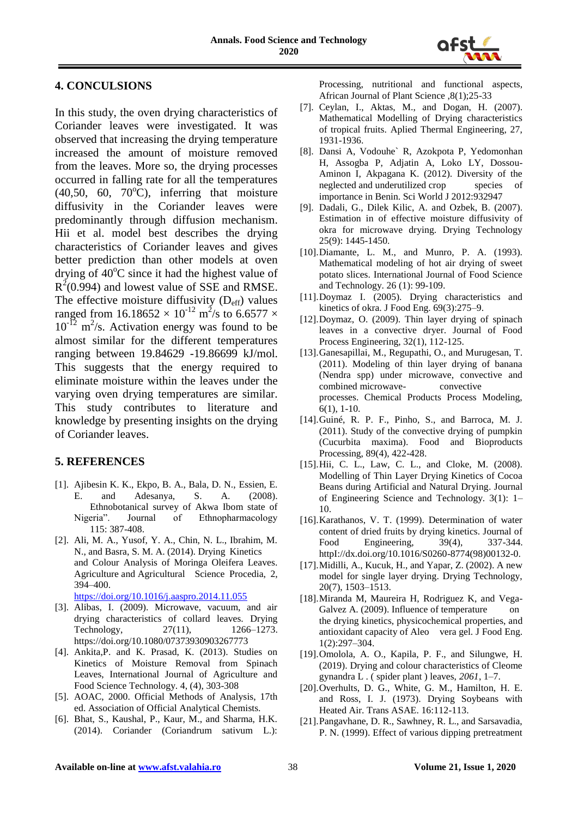

# **4. CONCULSIONS**

In this study, the oven drying characteristics of Coriander leaves were investigated. It was observed that increasing the drying temperature increased the amount of moisture removed from the leaves. More so, the drying processes occurred in falling rate for all the temperatures  $(40,50, 60, 70^{\circ}$ C), inferring that moisture diffusivity in the Coriander leaves were predominantly through diffusion mechanism. Hii et al. model best describes the drying characteristics of Coriander leaves and gives better prediction than other models at oven drying of  $40^{\circ}$ C since it had the highest value of  $R^2(0.994)$  and lowest value of SSE and RMSE. The effective moisture diffusivity  $(D_{\text{eff}})$  values ranged from 16.18652  $\times$  10<sup>-12</sup> m<sup>2</sup>/s to 6.6577  $\times$  $10^{-12}$  m<sup>2</sup>/s. Activation energy was found to be almost similar for the different temperatures ranging between 19.84629 -19.86699 kJ/mol. This suggests that the energy required to eliminate moisture within the leaves under the varying oven drying temperatures are similar. This study contributes to literature and knowledge by presenting insights on the drying of Coriander leaves.

# **5. REFERENCES**

- [1]. Ajibesin K. K., Ekpo, B. A., Bala, D. N., Essien, E. E. and Adesanya, S. A. (2008). Ethnobotanical survey of Akwa Ibom state of Nigeria". Journal of Ethnopharmacology 115: 387-408.
- [2]. Ali, M. A., Yusof, Y. A., Chin, N. L., Ibrahim, M. N., and Basra, S. M. A. (2014). Drying Kinetics and Colour Analysis of Moringa Oleifera Leaves. Agriculture and Agricultural Science Procedia, 2, 394–400. <https://doi.org/10.1016/j.aaspro.2014.11.055>

[3]. Alibas, I. (2009). Microwave, vacuum, and air drying characteristics of collard leaves. Drying Technology, 27(11), 1266–1273. https://doi.org/10.1080/07373930903267773

- [4]. Ankita,P. and K. Prasad, K. (2013). Studies on Kinetics of Moisture Removal from Spinach Leaves, International Journal of Agriculture and Food Science Technology. 4, (4), 303-308
- [5]. AOAC, 2000. Official Methods of Analysis, 17th ed. Association of Official Analytical Chemists.
- [6]. Bhat, S., Kaushal, P., Kaur, M., and Sharma, H.K. (2014). Coriander (Coriandrum sativum L.):

Processing, nutritional and functional aspects, African Journal of Plant Science ,8(1);25-33

- [7]. Ceylan, I., Aktas, M., and Dogan, H. (2007). Mathematical Modelling of Drying characteristics of tropical fruits. Aplied Thermal Engineering, 27, 1931-1936.
- [8]. Dansi A, Vodouhe` R, Azokpota P, Yedomonhan H, Assogba P, Adjatin A, Loko LY, Dossou-Aminon I, Akpagana K. (2012). Diversity of the neglected and underutilized crop species of importance in Benin. Sci World J 2012:932947
- [9]. Dadali, G., Dilek Kilic, A. and Ozbek, B. (2007). Estimation in of effective moisture diffusivity of okra for microwave drying. Drying Technology 25(9): 1445-1450.
- [10].Diamante, L. M., and Munro, P. A. (1993). Mathematical modeling of hot air drying of sweet potato slices. International Journal of Food Science and Technology. 26 (1): 99-109.
- [11].Doymaz I. (2005). Drying characteristics and kinetics of okra. J Food Eng. 69(3):275–9.
- [12].Doymaz, O. (2009). Thin layer drying of spinach leaves in a convective dryer. Journal of Food Process Engineering, 32(1), 112-125.
- [13].Ganesapillai, M., Regupathi, O., and Murugesan, T. (2011). Modeling of thin layer drying of banana (Nendra spp) under microwave, convective and combined microwave- convective processes. Chemical Products Process Modeling, 6(1), 1-10.
- [14].Guiné, R. P. F., Pinho, S., and Barroca, M. J. (2011). Study of the convective drying of pumpkin (Cucurbita maxima). Food and Bioproducts Processing, 89(4), 422-428.
- [15].Hii, C. L., Law, C. L., and Cloke, M. (2008). Modelling of Thin Layer Drying Kinetics of Cocoa Beans during Artificial and Natural Drying. Journal of Engineering Science and Technology. 3(1): 1– 10.
- [16].Karathanos, V. T. (1999). Determination of water content of dried fruits by drying kinetics. Journal of Food Engineering, 39(4), 337-344. httpI://dx.doi.org/10.1016/S0260-8774(98)00132-0.
- [17].Midilli, A., Kucuk, H., and Yapar, Z. (2002). A new model for single layer drying. Drying Technology, 20(7), 1503–1513.
- [18].Miranda M, Maureira H, Rodriguez K, and Vega-Galvez A. (2009). Influence of temperature on the drying kinetics, physicochemical properties, and antioxidant capacity of Aleo vera gel. J Food Eng. 1(2):297–304.
- [19].Omolola, A. O., Kapila, P. F., and Silungwe, H. (2019). Drying and colour characteristics of Cleome gynandra L . ( spider plant ) leaves, *2061*, 1–7.
- [20].Overhults, D. G., White, G. M., Hamilton, H. E. and Ross, I. J. (1973). Drying Soybeans with Heated Air. Trans ASAE. 16:112-113.
- [21].Pangavhane, D. R., Sawhney, R. L., and Sarsavadia, P. N. (1999). Effect of various dipping pretreatment